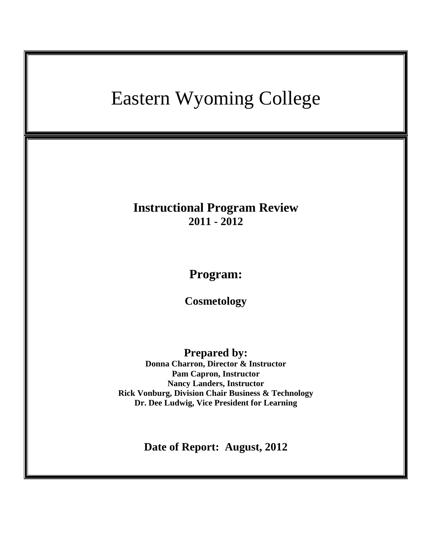# Eastern Wyoming College **Instructional Program Review 2011 - 2012 Program: Cosmetology Prepared by: Donna Charron, Director & Instructor Pam Capron, Instructor Nancy Landers, Instructor Rick Vonburg, Division Chair Business & Technology Dr. Dee Ludwig, Vice President for Learning Date of Report: August, 2012**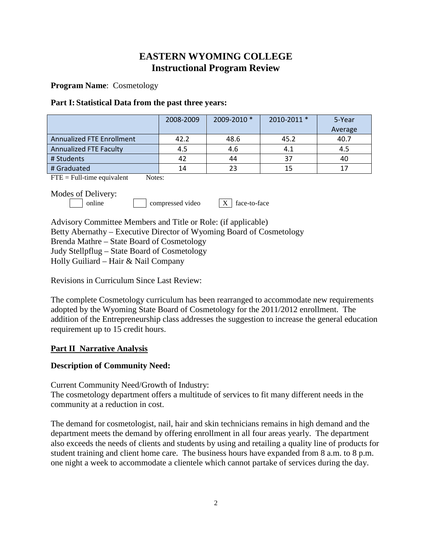# **EASTERN WYOMING COLLEGE Instructional Program Review**

**Program Name**: Cosmetology

#### **Part I: Statistical Data from the past three years:**

|                                  | 2008-2009 | 2009-2010 * | 2010-2011 * | 5-Year<br>Average |
|----------------------------------|-----------|-------------|-------------|-------------------|
| <b>Annualized FTE Enrollment</b> | 42.2      | 48.6        | 45.2        | 40.7              |
| <b>Annualized FTE Faculty</b>    | 4.5       | 4.6         | 4.1         | 4.5               |
| # Students                       | 42        | 44          | 37          | 40                |
| # Graduated                      | 14        | 23          | 15          | 17                |

 $\overline{FTE}$  = Full-time equivalent Notes:

Modes of Delivery:

online compressed video  $X$  face-to-face

Advisory Committee Members and Title or Role: (if applicable) Betty Abernathy – Executive Director of Wyoming Board of Cosmetology Brenda Mathre – State Board of Cosmetology Judy Stellpflug – State Board of Cosmetology Holly Guiliard – Hair & Nail Company

Revisions in Curriculum Since Last Review:

The complete Cosmetology curriculum has been rearranged to accommodate new requirements adopted by the Wyoming State Board of Cosmetology for the 2011/2012 enrollment. The addition of the Entrepreneurship class addresses the suggestion to increase the general education requirement up to 15 credit hours.

# **Part II Narrative Analysis**

#### **Description of Community Need:**

Current Community Need/Growth of Industry:

The cosmetology department offers a multitude of services to fit many different needs in the community at a reduction in cost.

The demand for cosmetologist, nail, hair and skin technicians remains in high demand and the department meets the demand by offering enrollment in all four areas yearly. The department also exceeds the needs of clients and students by using and retailing a quality line of products for student training and client home care. The business hours have expanded from 8 a.m. to 8 p.m. one night a week to accommodate a clientele which cannot partake of services during the day.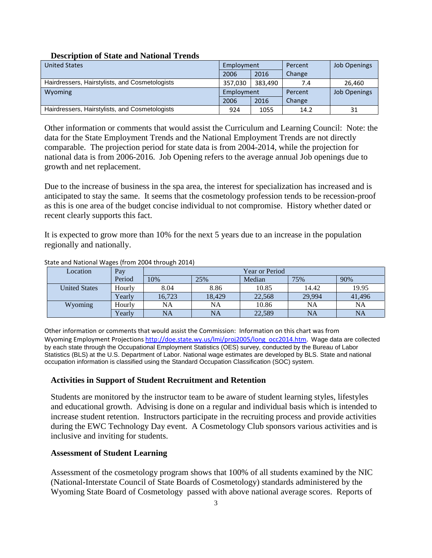#### **Description of State and National Trends**

| <b>United States</b>                           | Employment |         | Percent | <b>Job Openings</b> |
|------------------------------------------------|------------|---------|---------|---------------------|
|                                                | 2006       | 2016    | Change  |                     |
| Hairdressers, Hairstylists, and Cosmetologists | 357.030    | 383,490 | 7.4     | 26.460              |
| Wyoming                                        | Employment |         | Percent | <b>Job Openings</b> |
|                                                | 2006       | 2016    | Change  |                     |
| Hairdressers, Hairstylists, and Cosmetologists | 924        | 1055    | 14.2    | 31                  |

Other information or comments that would assist the Curriculum and Learning Council: Note: the data for the State Employment Trends and the National Employment Trends are not directly comparable. The projection period for state data is from 2004-2014, while the projection for national data is from 2006-2016. Job Opening refers to the average annual Job openings due to growth and net replacement.

Due to the increase of business in the spa area, the interest for specialization has increased and is anticipated to stay the same. It seems that the cosmetology profession tends to be recession-proof as this is one area of the budget concise individual to not compromise. History whether dated or recent clearly supports this fact.

It is expected to grow more than 10% for the next 5 years due to an increase in the population regionally and nationally.

| Location             | Pay    | <b>Year or Period</b> |           |        |        |        |  |
|----------------------|--------|-----------------------|-----------|--------|--------|--------|--|
|                      | Period | 10%                   | 25%       | Median | 75%    | 90%    |  |
| <b>United States</b> | Hourly | 8.04                  | 8.86      | 10.85  | 14.42  | 19.95  |  |
|                      | Yearly | 16.723                | 18.429    | 22,568 | 29,994 | 41,496 |  |
| Wyoming              | Hourly | NA                    | NA        | 10.86  | NA     | NA     |  |
|                      | Yearly | NA                    | <b>NA</b> | 22,589 | NA     | NA     |  |

#### State and National Wages (from 2004 through 2014)

Other information or comments that would assist the Commission: Information on this chart was from Wyoming Employment Projections [http://doe.state.wy.us/lmi/proj2005/long\\_occ2014.htm.](http://doe.state.wy.us/lmi/proj2005/long_occ2014.htm) Wage data are collected by each state through the Occupational Employment Statistics (OES) survey, conducted by the Bureau of Labor Statistics (BLS) at the U.S. Department of Labor. National wage estimates are developed by BLS. State and national occupation information is classified using the Standard Occupation Classification (SOC) system.

# **Activities in Support of Student Recruitment and Retention**

Students are monitored by the instructor team to be aware of student learning styles, lifestyles and educational growth. Advising is done on a regular and individual basis which is intended to increase student retention. Instructors participate in the recruiting process and provide activities during the EWC Technology Day event. A Cosmetology Club sponsors various activities and is inclusive and inviting for students.

# **Assessment of Student Learning**

Assessment of the cosmetology program shows that 100% of all students examined by the NIC (National-Interstate Council of State Boards of Cosmetology) standards administered by the Wyoming State Board of Cosmetology passed with above national average scores. Reports of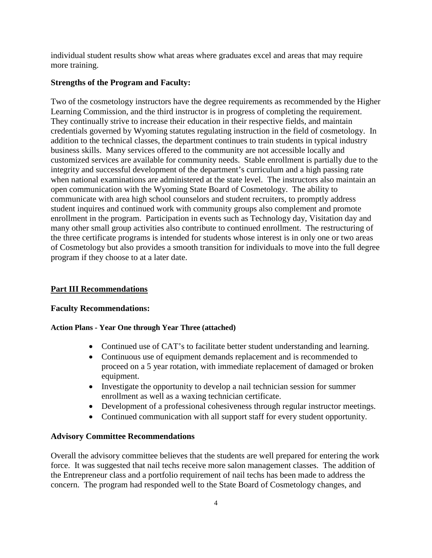individual student results show what areas where graduates excel and areas that may require more training.

# **Strengths of the Program and Faculty:**

Two of the cosmetology instructors have the degree requirements as recommended by the Higher Learning Commission, and the third instructor is in progress of completing the requirement. They continually strive to increase their education in their respective fields, and maintain credentials governed by Wyoming statutes regulating instruction in the field of cosmetology. In addition to the technical classes, the department continues to train students in typical industry business skills. Many services offered to the community are not accessible locally and customized services are available for community needs. Stable enrollment is partially due to the integrity and successful development of the department's curriculum and a high passing rate when national examinations are administered at the state level. The instructors also maintain an open communication with the Wyoming State Board of Cosmetology. The ability to communicate with area high school counselors and student recruiters, to promptly address student inquires and continued work with community groups also complement and promote enrollment in the program. Participation in events such as Technology day, Visitation day and many other small group activities also contribute to continued enrollment. The restructuring of the three certificate programs is intended for students whose interest is in only one or two areas of Cosmetology but also provides a smooth transition for individuals to move into the full degree program if they choose to at a later date.

# **Part III Recommendations**

# **Faculty Recommendations:**

# **Action Plans - Year One through Year Three (attached)**

- Continued use of CAT's to facilitate better student understanding and learning.
- Continuous use of equipment demands replacement and is recommended to proceed on a 5 year rotation, with immediate replacement of damaged or broken equipment.
- Investigate the opportunity to develop a nail technician session for summer enrollment as well as a waxing technician certificate.
- Development of a professional cohesiveness through regular instructor meetings.
- Continued communication with all support staff for every student opportunity.

# **Advisory Committee Recommendations**

Overall the advisory committee believes that the students are well prepared for entering the work force. It was suggested that nail techs receive more salon management classes. The addition of the Entrepreneur class and a portfolio requirement of nail techs has been made to address the concern. The program had responded well to the State Board of Cosmetology changes, and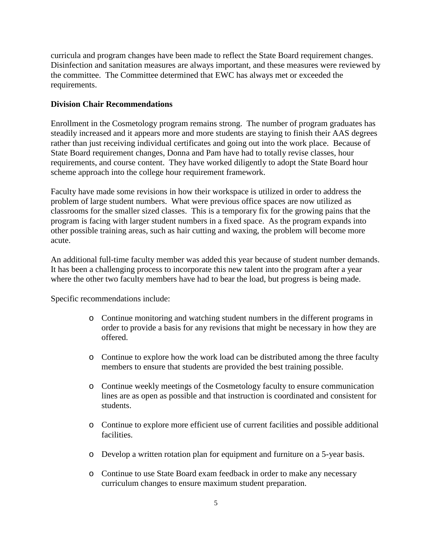curricula and program changes have been made to reflect the State Board requirement changes. Disinfection and sanitation measures are always important, and these measures were reviewed by the committee. The Committee determined that EWC has always met or exceeded the requirements.

#### **Division Chair Recommendations**

Enrollment in the Cosmetology program remains strong. The number of program graduates has steadily increased and it appears more and more students are staying to finish their AAS degrees rather than just receiving individual certificates and going out into the work place. Because of State Board requirement changes, Donna and Pam have had to totally revise classes, hour requirements, and course content. They have worked diligently to adopt the State Board hour scheme approach into the college hour requirement framework.

Faculty have made some revisions in how their workspace is utilized in order to address the problem of large student numbers. What were previous office spaces are now utilized as classrooms for the smaller sized classes. This is a temporary fix for the growing pains that the program is facing with larger student numbers in a fixed space. As the program expands into other possible training areas, such as hair cutting and waxing, the problem will become more acute.

An additional full-time faculty member was added this year because of student number demands. It has been a challenging process to incorporate this new talent into the program after a year where the other two faculty members have had to bear the load, but progress is being made.

Specific recommendations include:

- o Continue monitoring and watching student numbers in the different programs in order to provide a basis for any revisions that might be necessary in how they are offered.
- o Continue to explore how the work load can be distributed among the three faculty members to ensure that students are provided the best training possible.
- o Continue weekly meetings of the Cosmetology faculty to ensure communication lines are as open as possible and that instruction is coordinated and consistent for students.
- o Continue to explore more efficient use of current facilities and possible additional facilities.
- o Develop a written rotation plan for equipment and furniture on a 5-year basis.
- o Continue to use State Board exam feedback in order to make any necessary curriculum changes to ensure maximum student preparation.